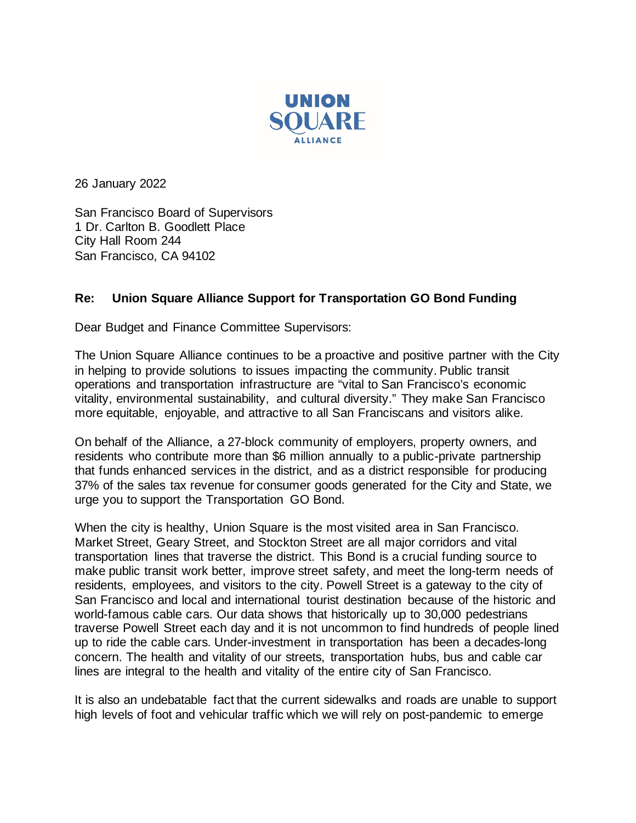

26 January 2022

San Francisco Board of Supervisors 1 Dr. Carlton B. Goodlett Place City Hall Room 244 San Francisco, CA 94102

## **Re: Union Square Alliance Support for Transportation GO Bond Funding**

Dear Budget and Finance Committee Supervisors:

The Union Square Alliance continues to be a proactive and positive partner with the City in helping to provide solutions to issues impacting the community. Public transit operations and transportation infrastructure are "vital to San Francisco's economic vitality, environmental sustainability, and cultural diversity." They make San Francisco more equitable, enjoyable, and attractive to all San Franciscans and visitors alike.

On behalf of the Alliance, a 27-block community of employers, property owners, and residents who contribute more than \$6 million annually to a public-private partnership that funds enhanced services in the district, and as a district responsible for producing 37% of the sales tax revenue for consumer goods generated for the City and State, we urge you to support the Transportation GO Bond.

When the city is healthy, Union Square is the most visited area in San Francisco. Market Street, Geary Street, and Stockton Street are all major corridors and vital transportation lines that traverse the district. This Bond is a crucial funding source to make public transit work better, improve street safety, and meet the long-term needs of residents, employees, and visitors to the city. Powell Street is a gateway to the city of San Francisco and local and international tourist destination because of the historic and world-famous cable cars. Our data shows that historically up to 30,000 pedestrians traverse Powell Street each day and it is not uncommon to find hundreds of people lined up to ride the cable cars. Under-investment in transportation has been a decades-long concern. The health and vitality of our streets, transportation hubs, bus and cable car lines are integral to the health and vitality of the entire city of San Francisco.

It is also an undebatable fact that the current sidewalks and roads are unable to support high levels of foot and vehicular traffic which we will rely on post-pandemic to emerge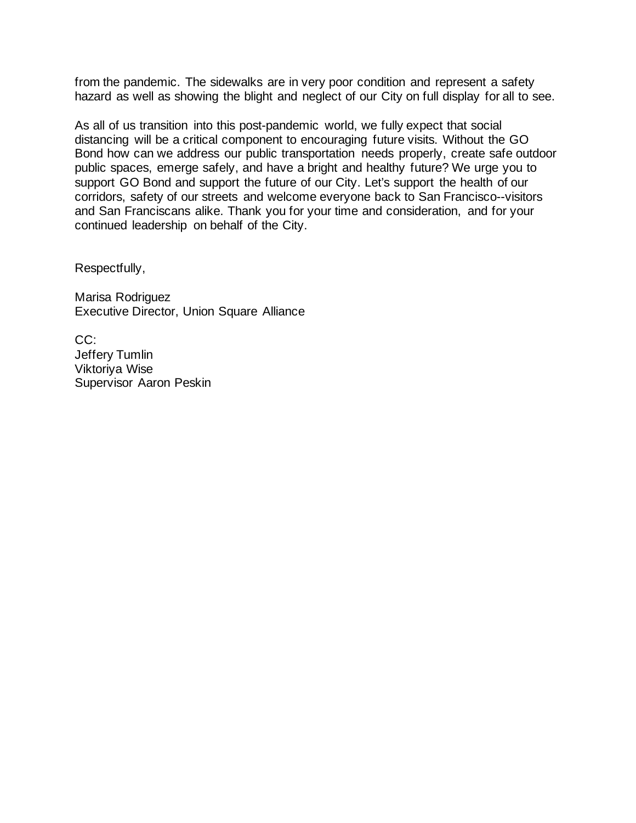from the pandemic. The sidewalks are in very poor condition and represent a safety hazard as well as showing the blight and neglect of our City on full display for all to see.

As all of us transition into this post-pandemic world, we fully expect that social distancing will be a critical component to encouraging future visits. Without the GO Bond how can we address our public transportation needs properly, create safe outdoor public spaces, emerge safely, and have a bright and healthy future? We urge you to support GO Bond and support the future of our City. Let's support the health of our corridors, safety of our streets and welcome everyone back to San Francisco--visitors and San Franciscans alike. Thank you for your time and consideration, and for your continued leadership on behalf of the City.

Respectfully,

Marisa Rodriguez Executive Director, Union Square Alliance

CC: Jeffery Tumlin Viktoriya Wise Supervisor Aaron Peskin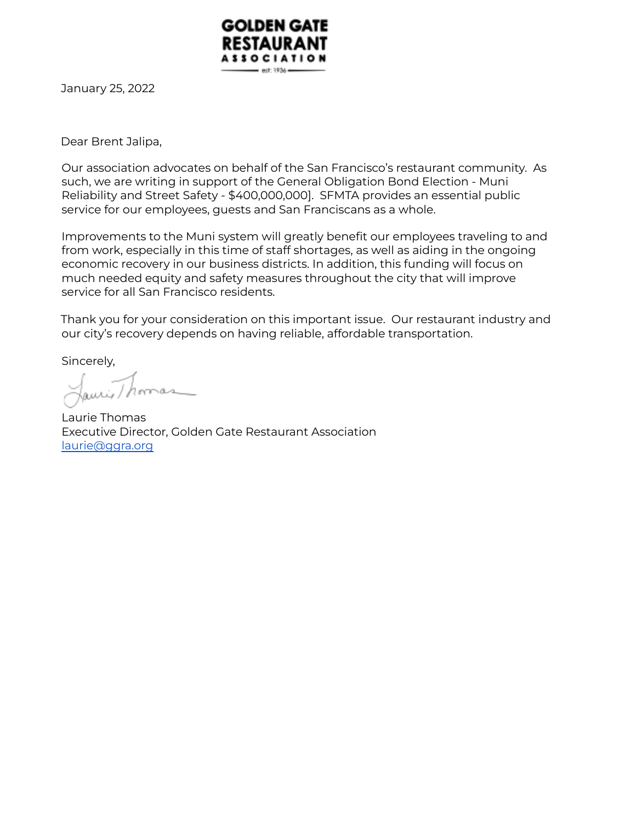

January 25, 2022

Dear Brent Jalipa,

Our association advocates on behalf of the San Francisco's restaurant community. As such, we are writing in support of the General Obligation Bond Election - Muni Reliability and Street Safety - \$400,000,000]. SFMTA provides an essential public service for our employees, guests and San Franciscans as a whole.

Improvements to the Muni system will greatly benefit our employees traveling to and from work, especially in this time of staff shortages, as well as aiding in the ongoing economic recovery in our business districts. In addition, this funding will focus on much needed equity and safety measures throughout the city that will improve service for all San Francisco residents.

Thank you for your consideration on this important issue. Our restaurant industry and our city's recovery depends on having reliable, affordable transportation.

Sincerely,

Laurie Thomas Executive Director, Golden Gate Restaurant Association laurie@ggra.org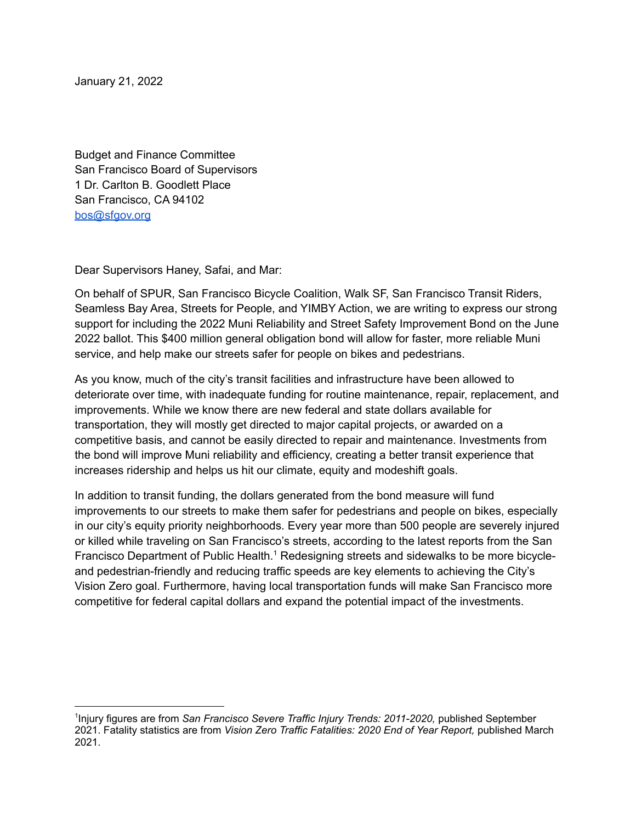January 21, 2022

Budget and Finance Committee San Francisco Board of Supervisors 1 Dr. Carlton B. Goodlett Place San Francisco, CA 94102 [bos@sfgov.org](mailto:bos@sfgov.org)

Dear Supervisors Haney, Safai, and Mar:

On behalf of SPUR, San Francisco Bicycle Coalition, Walk SF, San Francisco Transit Riders, Seamless Bay Area, Streets for People, and YIMBY Action, we are writing to express our strong support for including the 2022 Muni Reliability and Street Safety Improvement Bond on the June 2022 ballot. This \$400 million general obligation bond will allow for faster, more reliable Muni service, and help make our streets safer for people on bikes and pedestrians.

As you know, much of the city's transit facilities and infrastructure have been allowed to deteriorate over time, with inadequate funding for routine maintenance, repair, replacement, and improvements. While we know there are new federal and state dollars available for transportation, they will mostly get directed to major capital projects, or awarded on a competitive basis, and cannot be easily directed to repair and maintenance. Investments from the bond will improve Muni reliability and efficiency, creating a better transit experience that increases ridership and helps us hit our climate, equity and modeshift goals.

In addition to transit funding, the dollars generated from the bond measure will fund improvements to our streets to make them safer for pedestrians and people on bikes, especially in our city's equity priority neighborhoods. Every year more than 500 people are severely injured or killed while traveling on San Francisco's streets, according to the latest reports from the San Francisco Department of Public Health.<sup>1</sup> Redesigning streets and sidewalks to be more bicycleand pedestrian-friendly and reducing traffic speeds are key elements to achieving the City's Vision Zero goal. Furthermore, having local transportation funds will make San Francisco more competitive for federal capital dollars and expand the potential impact of the investments.

<sup>1</sup> Injury figures are from *San Francisco Severe Traffic Injury Trends: 2011-2020,* published September 2021. Fatality statistics are from *Vision Zero Traffic Fatalities: 2020 End of Year Report,* published March 2021.